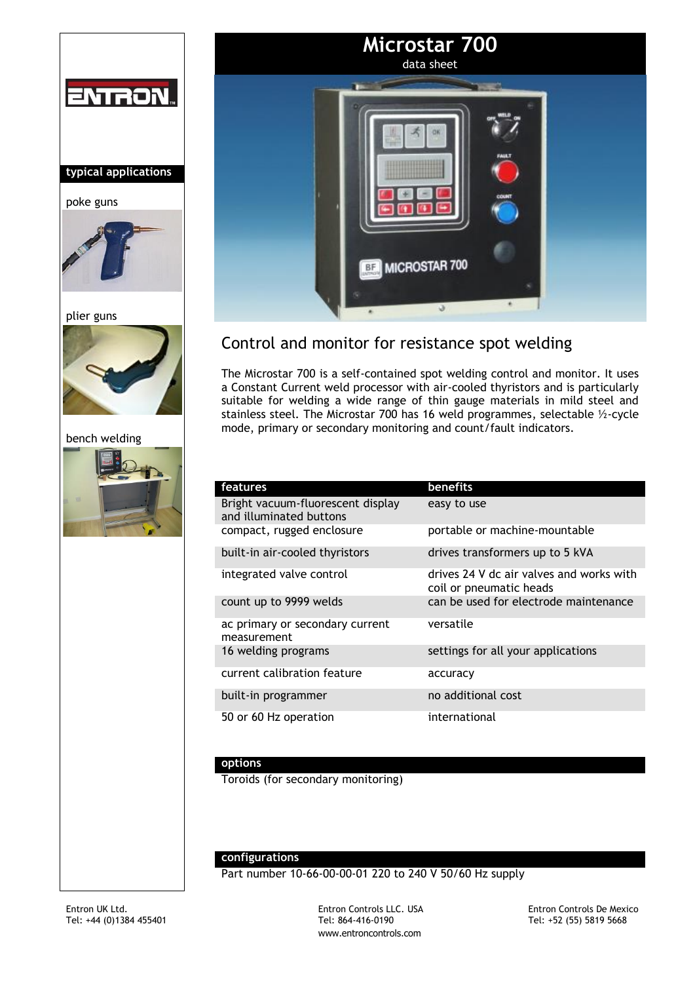





# Control and monitor for resistance spot welding

The Microstar 700 is a self-contained spot welding control and monitor. It uses a Constant Current weld processor with air-cooled thyristors and is particularly suitable for welding a wide range of thin gauge materials in mild steel and stainless steel. The Microstar 700 has 16 weld programmes, selectable ½-cycle mode, primary or secondary monitoring and count/fault indicators.

| features                                                     | benefits                                                            |
|--------------------------------------------------------------|---------------------------------------------------------------------|
| Bright vacuum-fluorescent display<br>and illuminated buttons | easy to use                                                         |
| compact, rugged enclosure                                    | portable or machine-mountable                                       |
| built-in air-cooled thyristors                               | drives transformers up to 5 kVA                                     |
| integrated valve control                                     | drives 24 V dc air valves and works with<br>coil or pneumatic heads |
| count up to 9999 welds                                       | can be used for electrode maintenance                               |
| ac primary or secondary current<br>measurement               | versatile                                                           |
| 16 welding programs                                          | settings for all your applications                                  |
| current calibration feature                                  | accuracy                                                            |
| built-in programmer                                          | no additional cost                                                  |
| 50 or 60 Hz operation                                        | international                                                       |

## **options**

Toroids (for secondary monitoring)

#### **configurations**

Part number 10-66-00-00-01 220 to 240 V 50/60 Hz supply